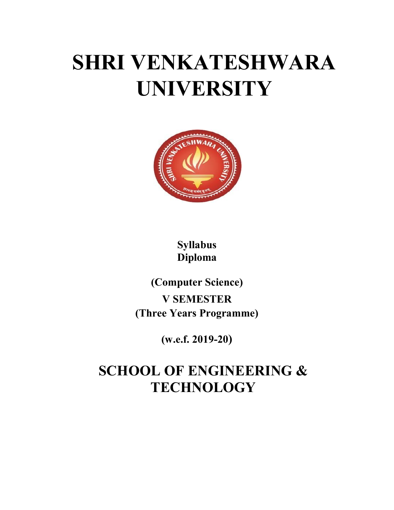# SHRI VENKATESHWARA UNIVERSITY



Syllabus Diploma

(Computer Science) V SEMESTER (Three Years Programme)

(w.e.f. 2019-20)

# SCHOOL OF ENGINEERING & **TECHNOLOGY**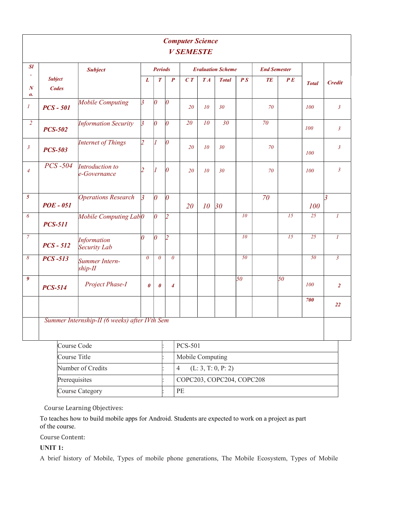| <b>Computer Science</b><br><b>V SEMESTE</b> |                                |                                               |                       |                       |                  |                                            |                          |                    |                 |                     |     |              |                         |
|---------------------------------------------|--------------------------------|-----------------------------------------------|-----------------------|-----------------------|------------------|--------------------------------------------|--------------------------|--------------------|-----------------|---------------------|-----|--------------|-------------------------|
| ${\cal S}l$                                 | <b>Subject</b>                 |                                               |                       | <b>Periods</b>        |                  |                                            | <b>Evaluation Scheme</b> |                    |                 | <b>End Semester</b> |     |              |                         |
| $\boldsymbol{N}$<br>0.                      | <b>Subject</b><br><b>Codes</b> |                                               | L                     | $\boldsymbol{T}$      | $\boldsymbol{P}$ | C T                                        | TA                       | <b>Total</b>       | PS              | TE                  | P E | <b>Total</b> | <b>Credit</b>           |
| $\boldsymbol{I}$                            | $PCS - 501$                    | <b>Mobile Computing</b>                       | $\overline{3}$        | $\theta$              | $\vert 0 \vert$  | 20                                         | 10                       | 30                 |                 | 70                  |     | 100          | $\mathfrak{z}$          |
| $\overline{2}$                              | <b>PCS-502</b>                 | <b>Information Security</b>                   | $\overline{3}$        | $\theta$              | $\vert_0$        | 20                                         | 10                       | 30                 |                 | 70                  |     | <i>100</i>   | $\mathfrak{Z}$          |
| $\mathfrak{z}$                              | <b>PCS-503</b>                 | <b>Internet of Things</b>                     | $\overline{2}$        | $\vert$               | $\overline{0}$   | 20                                         | <i>10</i>                | 30                 |                 | 70                  |     | 100          | $\mathfrak{z}$          |
| $\overline{4}$                              | $PCS - 504$                    | Introduction to<br>e-Governance               |                       | $\mathbf{I}$          | $\Omega$         | 20                                         | <i>10</i>                | 30                 |                 | 70                  |     | 100          | $\mathfrak{z}$          |
| $\overline{5}$                              | <b>POE - 051</b>               | <b>Operations Research</b>                    | $\overline{3}$        | $\theta$              | $\theta$         | 20                                         | 10 <sup>°</sup>          | 30                 |                 | 70                  |     | 100          | $\overline{\mathbf{3}}$ |
| $\boldsymbol{\delta}$                       | <b>PCS-511</b>                 | Mobile Computing Lab <sup>0</sup>             |                       | $\theta$              | $\vert$ 2        |                                            |                          |                    | 10              |                     | 15  | 25           | $\boldsymbol{l}$        |
| $\overline{7}$                              | $PCS - 512$                    | Information<br>Security Lab                   | $\overline{\Omega}$   | $\theta$              | $\overline{2}$   |                                            |                          |                    | 10              |                     | 15  | 25           | $\boldsymbol{l}$        |
| $\delta$                                    | <b>PCS-513</b>                 | Summer Intern-<br>$ship-II$                   | $\theta$              | $\theta$              | $\theta$         |                                            |                          |                    | 50              |                     |     | 50           | $\overline{\mathbf{3}}$ |
| 9                                           | <b>PCS-514</b>                 | Project Phase-I                               | $\boldsymbol{\theta}$ | $\boldsymbol{\theta}$ | $\boldsymbol{4}$ |                                            |                          |                    | $\overline{50}$ |                     | 50  | 100          | $\overline{2}$          |
|                                             |                                |                                               |                       |                       |                  |                                            |                          |                    |                 |                     |     | 700          | 22                      |
|                                             |                                | Summer Internship-II (6 weeks) after IVth Sem |                       |                       |                  |                                            |                          |                    |                 |                     |     |              |                         |
|                                             | Course Code                    |                                               |                       |                       |                  | PCS-501                                    |                          |                    |                 |                     |     |              |                         |
|                                             | Course Title                   |                                               |                       |                       |                  | Mobile Computing                           |                          |                    |                 |                     |     |              |                         |
|                                             |                                | Number of Credits                             |                       |                       |                  | $\overline{4}$                             |                          | (L: 3, T: 0, P: 2) |                 |                     |     |              |                         |
|                                             | Prerequisites                  |                                               |                       |                       |                  | COPC203, COPC204, COPC208                  |                          |                    |                 |                     |     |              |                         |
|                                             |                                | Course Category                               |                       |                       |                  | $\ensuremath{\mathop{\mathrm{PE}}}\xspace$ |                          |                    |                 |                     |     |              |                         |

Course Learning Objectives:

To teaches how to build mobile apps for Android. Students are expected to work on a project as part of the course.

Course Content:

UNIT 1:

A brief history of Mobile, Types of mobile phone generations, The Mobile Ecosystem, Types of Mobile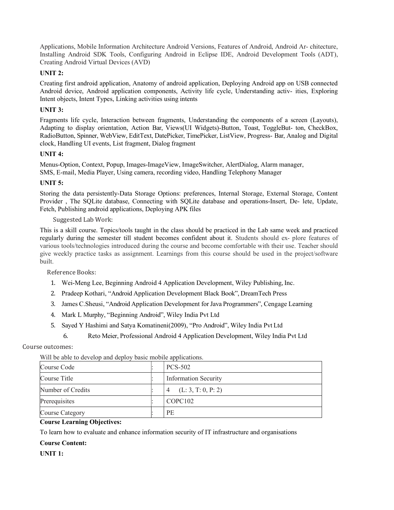Applications, Mobile Information Architecture Android Versions, Features of Android, Android Ar- chitecture, Installing Android SDK Tools, Configuring Android in Eclipse IDE, Android Development Tools (ADT), Creating Android Virtual Devices (AVD)

#### UNIT 2:

Creating first android application, Anatomy of android application, Deploying Android app on USB connected Android device, Android application components, Activity life cycle, Understanding activ- ities, Exploring Intent objects, Intent Types, Linking activities using intents

#### UNIT 3:

Fragments life cycle, Interaction between fragments, Understanding the components of a screen (Layouts), Adapting to display orientation, Action Bar, Views(UI Widgets)-Button, Toast, ToggleBut- ton, CheckBox, RadioButton, Spinner, WebView, EditText, DatePicker, TimePicker, ListView, Progress- Bar, Analog and Digital clock, Handling UI events, List fragment, Dialog fragment

#### UNIT 4:

Menus-Option, Context, Popup, Images-ImageView, ImageSwitcher, AlertDialog, Alarm manager, SMS, E-mail, Media Player, Using camera, recording video, Handling Telephony Manager

#### UNIT 5:

Storing the data persistently-Data Storage Options: preferences, Internal Storage, External Storage, Content Provider , The SQLite database, Connecting with SQLite database and operations-Insert, De- lete, Update, Fetch, Publishing android applications, Deploying APK files

#### Suggested Lab Work:

This is a skill course. Topics/tools taught in the class should be practiced in the Lab same week and practiced regularly during the semester till student becomes confident about it. Students should ex- plore features of various tools/technologies introduced during the course and become comfortable with their use. Teacher should give weekly practice tasks as assignment. Learnings from this course should be used in the project/software built.

Reference Books:

- 1. Wei-Meng Lee, Beginning Android 4 Application Development, Wiley Publishing, Inc.
- 2. Pradeep Kothari, "Android Application Development Black Book", DreamTech Press
- 3. James C.Sheusi, "Android Application Development for Java Programmers", Cengage Learning
- 4. Mark L Murphy, "Beginning Android", Wiley India Pvt Ltd
- 5. Sayed Y Hashimi and Satya Komatineni(2009), "Pro Android", Wiley India Pvt Ltd
	- 6. Reto Meier, Professional Android 4 Application Development, Wiley India Pvt Ltd

#### Course outcomes:

| Will be able to develop and deploy basic mobile applications. |  |                                      |  |
|---------------------------------------------------------------|--|--------------------------------------|--|
| Course Code                                                   |  | <b>PCS-502</b>                       |  |
| Course Title                                                  |  | <b>Information Security</b>          |  |
| Number of Credits                                             |  | (L: 3, T: 0, P: 2)<br>$\overline{4}$ |  |
| Prerequisites                                                 |  | COPC <sub>102</sub>                  |  |
| <b>Course Category</b>                                        |  | <b>PE</b>                            |  |

 $W''111 = 11$  and  $A = 1$  and  $A = 1$  and  $A = 1$  and  $A = 1$  applications.

#### Course Learning Objectives:

To learn how to evaluate and enhance information security of IT infrastructure and organisations

#### Course Content:

UNIT 1: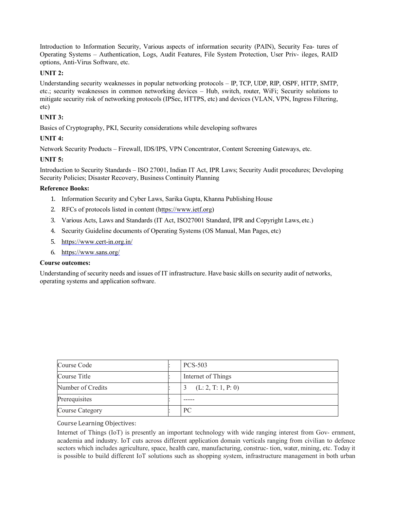Introduction to Information Security, Various aspects of information security (PAIN), Security Fea- tures of Operating Systems – Authentication, Logs, Audit Features, File System Protection, User Priv- ileges, RAID options, Anti-Virus Software, etc.

#### UNIT 2:

Understanding security weaknesses in popular networking protocols – IP, TCP, UDP, RIP, OSPF, HTTP, SMTP, etc.; security weaknesses in common networking devices – Hub, switch, router, WiFi; Security solutions to mitigate security risk of networking protocols (IPSec, HTTPS, etc) and devices (VLAN, VPN, Ingress Filtering, etc)

## UNIT 3:

Basics of Cryptography, PKI, Security considerations while developing softwares

# UNIT 4:

Network Security Products – Firewall, IDS/IPS, VPN Concentrator, Content Screening Gateways, etc.

#### UNIT 5:

Introduction to Security Standards – ISO 27001, Indian IT Act, IPR Laws; Security Audit procedures; Developing Security Policies; Disaster Recovery, Business Continuity Planning

#### Reference Books:

- 1. Information Security and Cyber Laws, Sarika Gupta, Khanna Publishing House
- 2. RFCs of protocols listed in content (https://www.ietf.org)
- 3. Various Acts, Laws and Standards (IT Act, ISO27001 Standard, IPR and Copyright Laws, etc.)
- 4. Security Guideline documents of Operating Systems (OS Manual, Man Pages, etc)
- 5. https://www.cert-in.org.in/
- 6. https://www.sans.org/

## Course outcomes:

Understanding of security needs and issues of IT infrastructure. Have basic skills on security audit of networks, operating systems and application software.

| Course Code            | <b>PCS-503</b>     |
|------------------------|--------------------|
| Course Title           | Internet of Things |
| Number of Credits      | (L: 2, T: 1, P: 0) |
| Prerequisites          |                    |
| <b>Course Category</b> | <b>PC</b>          |

Course Learning Objectives:

Internet of Things (IoT) is presently an important technology with wide ranging interest from Gov- ernment, academia and industry. IoT cuts across different application domain verticals ranging from civilian to defence sectors which includes agriculture, space, health care, manufacturing, construc- tion, water, mining, etc. Today it is possible to build different IoT solutions such as shopping system, infrastructure management in both urban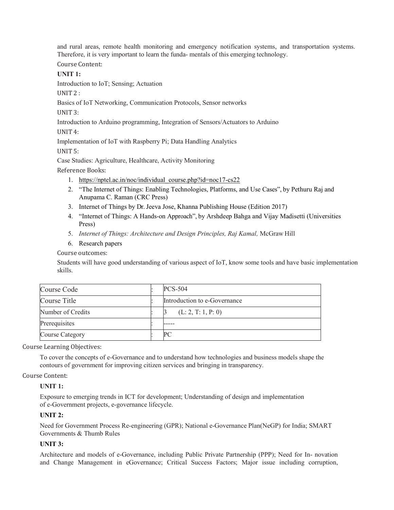and rural areas, remote health monitoring and emergency notification systems, and transportation systems. Therefore, it is very important to learn the funda- mentals of this emerging technology.

Course Content:

# UNIT 1:

Introduction to IoT; Sensing; Actuation

UNIT 2 :

Basics of IoT Networking, Communication Protocols, Sensor networks

UNIT 3:

Introduction to Arduino programming, Integration of Sensors/Actuators to Arduino

UNIT 4:

Implementation of IoT with Raspberry Pi; Data Handling Analytics

UNIT 5:

Case Studies: Agriculture, Healthcare, Activity Monitoring

Reference Books:

- 1. https://nptel.ac.in/noc/individual\_course.php?id=noc17-cs22
- 2. "The Internet of Things: Enabling Technologies, Platforms, and Use Cases", by Pethuru Raj and Anupama C. Raman (CRC Press)
- 3. Internet of Things by Dr. Jeeva Jose, Khanna Publishing House (Edition 2017)
- 4. "Internet of Things: A Hands-on Approach", by Arshdeep Bahga and Vijay Madisetti (Universities Press)
- 5. Internet of Things: Architecture and Design Principles, Raj Kamal, McGraw Hill
- 6. Research papers

Course outcomes:

Students will have good understanding of various aspect of IoT, know some tools and have basic implementation skills.

| Course Code            | $PCS-504$                    |
|------------------------|------------------------------|
| Course Title           | Introduction to e-Governance |
| Number of Credits      | (L: 2, T: 1, P: 0)           |
| Prerequisites          |                              |
| <b>Course Category</b> | PC                           |

Course Learning Objectives:

To cover the concepts of e-Governance and to understand how technologies and business models shape the contours of government for improving citizen services and bringing in transparency.

#### Course Content:

#### UNIT 1:

Exposure to emerging trends in ICT for development; Understanding of design and implementation of e-Government projects, e-governance lifecycle.

#### UNIT 2:

Need for Government Process Re-engineering (GPR); National e-Governance Plan(NeGP) for India; SMART Governments & Thumb Rules

#### UNIT 3:

Architecture and models of e-Governance, including Public Private Partnership (PPP); Need for In- novation and Change Management in eGovernance; Critical Success Factors; Major issue including corruption,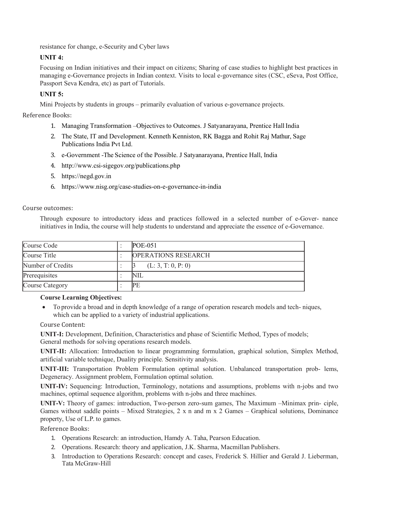resistance for change, e-Security and Cyber laws

#### UNIT 4:

Focusing on Indian initiatives and their impact on citizens; Sharing of case studies to highlight best practices in managing e-Governance projects in Indian context. Visits to local e-governance sites (CSC, eSeva, Post Office, Passport Seva Kendra, etc) as part of Tutorials.

#### UNIT 5:

Mini Projects by students in groups – primarily evaluation of various e-governance projects.

Reference Books:

- 1. Managing Transformation –Objectives to Outcomes. J Satyanarayana, Prentice Hall India
- 2. The State, IT and Development. Kenneth Kenniston, RK Bagga and Rohit Raj Mathur, Sage Publications India Pvt Ltd.
- 3. e-Government -The Science of the Possible. J Satyanarayana, Prentice Hall, India
- 4. http://www.csi-sigegov.org/publications.php
- 5. https://negd.gov.in
- 6. https://www.nisg.org/case-studies-on-e-governance-in-india

#### Course outcomes:

Through exposure to introductory ideas and practices followed in a selected number of e-Gover- nance initiatives in India, the course will help students to understand and appreciate the essence of e-Governance.

| Course Code            | $POE-051$                  |
|------------------------|----------------------------|
| Course Title           | <b>OPERATIONS RESEARCH</b> |
| Number of Credits      | (L: 3, T: 0, P: 0)         |
| Prerequisites          | NIL                        |
| <b>Course Category</b> | РF                         |

#### Course Learning Objectives:

 To provide a broad and in depth knowledge of a range of operation research models and tech- niques, which can be applied to a variety of industrial applications.

Course Content:

UNIT-I: Development, Definition, Characteristics and phase of Scientific Method, Types of models; General methods for solving operations research models.

UNIT-II: Allocation: Introduction to linear programming formulation, graphical solution, Simplex Method, artificial variable technique, Duality principle. Sensitivity analysis.

UNIT-III: Transportation Problem Formulation optimal solution. Unbalanced transportation prob- lems, Degeneracy. Assignment problem, Formulation optimal solution.

UNIT-IV: Sequencing: Introduction, Terminology, notations and assumptions, problems with n-jobs and two machines, optimal sequence algorithm, problems with n-jobs and three machines.

UNIT-V: Theory of games: introduction, Two-person zero-sum games, The Maximum –Minimax prin- ciple, Games without saddle points – Mixed Strategies, 2 x n and m x 2 Games – Graphical solutions, Dominance property, Use of L.P. to games.

Reference Books:

- 1. Operations Research: an introduction, Hamdy A. Taha, Pearson Education.
- 2. Operations. Research: theory and application, J.K. Sharma, Macmillan Publishers.
- 3. Introduction to Operations Research: concept and cases, Frederick S. Hillier and Gerald J. Lieberman, Tata McGraw-Hill